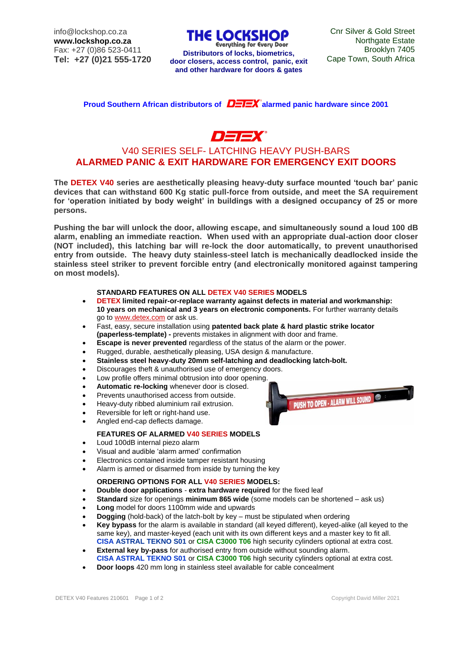info@lockshop.co.za **www.lockshop.co.za** Fax: +27 (0)86 523-0411 **Tel: +27 (0)21 555-1720** **THE LOCKSHOP** 

Cape Town, South Africa **Distributors of locks, biometrics, door closers, access control, panic, exit and other hardware for doors & gates**

**Proud Southern African distributors of**  $\mathbf{D} = \mathbf{F}$  **alarmed panic hardware since 2001** 

# $\neg \implies$

## V40 SERIES SELF- LATCHING HEAVY PUSH-BARS **ALARMED PANIC & EXIT HARDWARE FOR EMERGENCY EXIT DOORS**

**The DETEX V40 series are aesthetically pleasing heavy-duty surface mounted 'touch bar' panic devices that can withstand 600 Kg static pull-force from outside, and meet the SA requirement for 'operation initiated by body weight' in buildings with a designed occupancy of 25 or more persons.**

**Pushing the bar will unlock the door, allowing escape, and simultaneously sound a loud 100 dB alarm, enabling an immediate reaction. When used with an appropriate dual-action door closer (NOT included), this latching bar will re-lock the door automatically, to prevent unauthorised entry from outside. The heavy duty stainless-steel latch is mechanically deadlocked inside the stainless steel striker to prevent forcible entry (and electronically monitored against tampering on most models).**

#### **STANDARD FEATURES ON ALL DETEX V40 SERIES MODELS**

- **DETEX limited repair-or-replace warranty against defects in material and workmanship: 10 years on mechanical and 3 years on electronic components.** For further warranty details go t[o www.detex.com](http://www.detex.com/) or ask us.
- Fast, easy, secure installation using **patented back plate & hard plastic strike locator (paperless-template) -** prevents mistakes in alignment with door and frame.
- **Escape is never prevented** regardless of the status of the alarm or the power.
- Rugged, durable, aesthetically pleasing, USA design & manufacture.
- **Stainless steel heavy-duty 20mm self-latching and deadlocking latch-bolt.**
- Discourages theft & unauthorised use of emergency doors.
- Low profile offers minimal obtrusion into door opening.
- **Automatic re-locking** whenever door is closed.
- Prevents unauthorised access from outside.
- Heavy-duty ribbed aluminium rail extrusion.
- Reversible for left or right-hand use.
- Angled end-cap deflects damage.

#### **FEATURES OF ALARMED V40 SERIES MODELS**

- Loud 100dB internal piezo alarm
- Visual and audible 'alarm armed' confirmation
- Electronics contained inside tamper resistant housing
- Alarm is armed or disarmed from inside by turning the key

#### **ORDERING OPTIONS FOR ALL V40 SERIES MODELS:**

- **Double door applications extra hardware required** for the fixed leaf
- **Standard** size for openings **minimum 865 wide** (some models can be shortened ask us)
- **Long** model for doors 1100mm wide and upwards
- **Dogging** (hold-back) of the latch-bolt by key must be stipulated when ordering
- **Key bypass** for the alarm is available in standard (all keyed different), keyed-alike (all keyed to the same key), and master-keyed (each unit with its own different keys and a master key to fit all. **CISA ASTRAL TEKNO S01** or **CISA C3000 T06** high security cylinders optional at extra cost.
- **External key by-pass** for authorised entry from outside without sounding alarm. **CISA ASTRAL TEKNO S01** or **CISA C3000 T06** high security cylinders optional at extra cost.
- **Door loops** 420 mm long in stainless steel available for cable concealment

**PUSH TO OPEN - ALARM WILL SOUND OF A STATE**